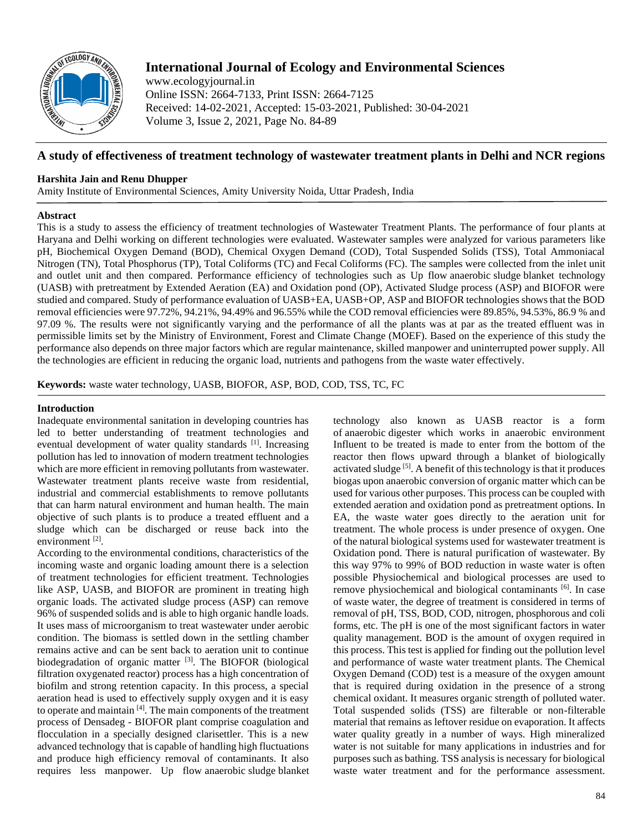

# **International Journal of Ecology and Environmental Sciences**

www.ecologyjournal.in Online ISSN: 2664-7133, Print ISSN: 2664-7125 Received: 14-02-2021, Accepted: 15-03-2021, Published: 30-04-2021 Volume 3, Issue 2, 2021, Page No. 84-89

## **A study of effectiveness of treatment technology of wastewater treatment plants in Delhi and NCR regions**

## **Harshita Jain and Renu Dhupper**

Amity Institute of Environmental Sciences, Amity University Noida, Uttar Pradesh, India

## **Abstract**

This is a study to assess the efficiency of treatment technologies of Wastewater Treatment Plants. The performance of four plants at Haryana and Delhi working on different technologies were evaluated. Wastewater samples were analyzed for various parameters like pH, Biochemical Oxygen Demand (BOD), Chemical Oxygen Demand (COD), Total Suspended Solids (TSS), Total Ammoniacal Nitrogen (TN), Total Phosphorus (TP), Total Coliforms (TC) and Fecal Coliforms (FC). The samples were collected from the inlet unit and outlet unit and then compared. Performance efficiency of technologies such as Up flow anaerobic sludge blanket technology (UASB) with pretreatment by Extended Aeration (EA) and Oxidation pond (OP), Activated Sludge process (ASP) and BIOFOR were studied and compared. Study of performance evaluation of UASB+EA, UASB+OP, ASP and BIOFOR technologies shows that the BOD removal efficiencies were 97.72%, 94.21%, 94.49% and 96.55% while the COD removal efficiencies were 89.85%, 94.53%, 86.9 % and 97.09 %. The results were not significantly varying and the performance of all the plants was at par as the treated effluent was in permissible limits set by the Ministry of Environment, Forest and Climate Change (MOEF). Based on the experience of this study the performance also depends on three major factors which are regular maintenance, skilled manpower and uninterrupted power supply. All the technologies are efficient in reducing the organic load, nutrients and pathogens from the waste water effectively.

**Keywords:** waste water technology, UASB, BIOFOR, ASP, BOD, COD, TSS, TC, FC

#### **Introduction**

Inadequate environmental sanitation in developing countries has led to better understanding of treatment technologies and eventual development of water quality standards [1]. Increasing pollution has led to innovation of modern treatment technologies which are more efficient in removing pollutants from wastewater. Wastewater treatment plants receive waste from residential, industrial and commercial establishments to remove pollutants that can harm natural environment and human health. The main objective of such plants is to produce a treated effluent and a sludge which can be discharged or reuse back into the environment<sup>[2]</sup>.

According to the environmental conditions, characteristics of the incoming waste and organic loading amount there is a selection of treatment technologies for efficient treatment. Technologies like ASP, UASB, and BIOFOR are prominent in treating high organic loads. The activated sludge process (ASP) can remove 96% of suspended solids and is able to high organic handle loads. It uses mass of microorganism to treat wastewater under aerobic condition. The biomass is settled down in the settling chamber remains active and can be sent back to aeration unit to continue biodegradation of organic matter [3]. The BIOFOR (biological filtration oxygenated reactor) process has a high concentration of biofilm and strong retention capacity. In this process, a special aeration head is used to effectively supply oxygen and it is easy to operate and maintain  $[4]$ . The main components of the treatment process of Densadeg - BIOFOR plant comprise coagulation and flocculation in a specially designed clarisettler. This is a new advanced technology that is capable of handling high fluctuations and produce high efficiency removal of contaminants. It also requires less manpower. Up flow anaerobic sludge blanket technology also known as UASB reactor is a form of anaerobic digester which works in anaerobic environment Influent to be treated is made to enter from the bottom of the reactor then flows upward through a blanket of biologically activated sludge [5]. A benefit of this technology is that it produces biogas upon anaerobic conversion of organic matter which can be used for various other purposes. This process can be coupled with extended aeration and oxidation pond as pretreatment options. In EA, the waste water goes directly to the aeration unit for treatment. The whole process is under presence of oxygen. One of the natural biological systems used for wastewater treatment is Oxidation pond. There is natural purification of wastewater. By this way 97% to 99% of BOD reduction in waste water is often possible Physiochemical and biological processes are used to remove physiochemical and biological contaminants [6]. In case of waste water, the degree of treatment is considered in terms of removal of pH, TSS, BOD, COD, nitrogen, phosphorous and coli forms, etc. The pH is one of the most significant factors in water quality management. BOD is the amount of oxygen required in this process. This test is applied for finding out the pollution level and performance of waste water treatment plants. The Chemical Oxygen Demand (COD) test is a measure of the oxygen amount that is required during oxidation in the presence of a strong chemical oxidant. It measures organic strength of polluted water. Total suspended solids (TSS) are filterable or non-filterable material that remains as leftover residue on evaporation. It affects water quality greatly in a number of ways. High mineralized water is not suitable for many applications in industries and for purposes such as bathing. TSS analysis is necessary for biological waste water treatment and for the performance assessment.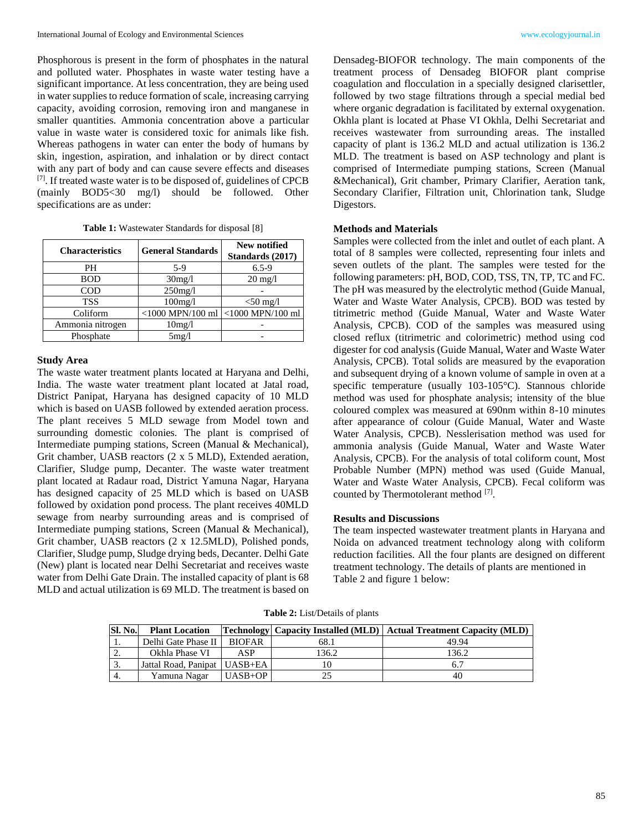Phosphorous is present in the form of phosphates in the natural and polluted water. Phosphates in waste water testing have a significant importance. At less concentration, they are being used in water supplies to reduce formation of scale, increasing carrying capacity, avoiding corrosion, removing iron and manganese in smaller quantities. Ammonia concentration above a particular value in waste water is considered toxic for animals like fish. Whereas pathogens in water can enter the body of humans by skin, ingestion, aspiration, and inhalation or by direct contact with any part of body and can cause severe effects and diseases  $[7]$ . If treated waste water is to be disposed of, guidelines of CPCB (mainly BOD5<30 mg/l) should be followed. Other specifications are as under:

|  | Table 1: Wastewater Standards for disposal [8] |  |  |  |  |
|--|------------------------------------------------|--|--|--|--|
|--|------------------------------------------------|--|--|--|--|

| <b>Characteristics</b> | <b>General Standards</b> | New notified<br>Standards (2017) |  |  |
|------------------------|--------------------------|----------------------------------|--|--|
| PН                     | 5-9                      | $6.5 - 9$                        |  |  |
| <b>BOD</b>             | 30mg/l                   | $20 \text{ mg}/l$                |  |  |
| <b>COD</b>             | $250$ mg/l               |                                  |  |  |
| <b>TSS</b>             | 100mg/l                  | $<$ 50 mg/l                      |  |  |
| Coliform               | $<$ 1000 MPN/100 ml      | $<$ 1000 MPN/100 ml              |  |  |
| Ammonia nitrogen       | 10mg/l                   |                                  |  |  |
| Phosphate              | 5mg/1                    |                                  |  |  |

#### **Study Area**

The waste water treatment plants located at Haryana and Delhi, India. The waste water treatment plant located at Jatal road, District Panipat, Haryana has designed capacity of 10 MLD which is based on UASB followed by extended aeration process. The plant receives 5 MLD sewage from Model town and surrounding domestic colonies. The plant is comprised of Intermediate pumping stations, Screen (Manual & Mechanical), Grit chamber, UASB reactors (2 x 5 MLD), Extended aeration, Clarifier, Sludge pump, Decanter. The waste water treatment plant located at Radaur road, District Yamuna Nagar, Haryana has designed capacity of 25 MLD which is based on UASB followed by oxidation pond process. The plant receives 40MLD sewage from nearby surrounding areas and is comprised of Intermediate pumping stations, Screen (Manual & Mechanical), Grit chamber, UASB reactors (2 x 12.5MLD), Polished ponds, Clarifier, Sludge pump, Sludge drying beds, Decanter. Delhi Gate (New) plant is located near Delhi Secretariat and receives waste water from Delhi Gate Drain. The installed capacity of plant is 68 MLD and actual utilization is 69 MLD. The treatment is based on

Densadeg-BIOFOR technology. The main components of the treatment process of Densadeg BIOFOR plant comprise coagulation and flocculation in a specially designed clarisettler, followed by two stage filtrations through a special medial bed where organic degradation is facilitated by external oxygenation. Okhla plant is located at Phase VI Okhla, Delhi Secretariat and receives wastewater from surrounding areas. The installed capacity of plant is 136.2 MLD and actual utilization is 136.2 MLD. The treatment is based on ASP technology and plant is comprised of Intermediate pumping stations, Screen (Manual &Mechanical), Grit chamber, Primary Clarifier, Aeration tank, Secondary Clarifier, Filtration unit, Chlorination tank, Sludge Digestors.

## **Methods and Materials**

Samples were collected from the inlet and outlet of each plant. A total of 8 samples were collected, representing four inlets and seven outlets of the plant. The samples were tested for the following parameters: pH, BOD, COD, TSS, TN, TP, TC and FC. The pH was measured by the electrolytic method (Guide Manual, Water and Waste Water Analysis, CPCB). BOD was tested by titrimetric method (Guide Manual, Water and Waste Water Analysis, CPCB). COD of the samples was measured using closed reflux (titrimetric and colorimetric) method using cod digester for cod analysis (Guide Manual, Water and Waste Water Analysis, CPCB). Total solids are measured by the evaporation and subsequent drying of a known volume of sample in oven at a specific temperature (usually 103-105°C). Stannous chloride method was used for phosphate analysis; intensity of the blue coloured complex was measured at 690nm within 8-10 minutes after appearance of colour (Guide Manual, Water and Waste Water Analysis, CPCB). Nesslerisation method was used for ammonia analysis (Guide Manual, Water and Waste Water Analysis, CPCB). For the analysis of total coliform count, Most Probable Number (MPN) method was used (Guide Manual, Water and Waste Water Analysis, CPCB). Fecal coliform was counted by Thermotolerant method [7].

## **Results and Discussions**

The team inspected wastewater treatment plants in Haryana and Noida on advanced treatment technology along with coliform reduction facilities. All the four plants are designed on different treatment technology. The details of plants are mentioned in Table 2 and figure 1 below:

**Table 2:** List/Details of plants

| <b>SI. No.</b> | <b>Plant Location</b>          |               |       | Technology  Capacity Installed (MLD)   Actual Treatment Capacity (MLD) |
|----------------|--------------------------------|---------------|-------|------------------------------------------------------------------------|
| .,             | Delhi Gate Phase II            | <b>BIOFAR</b> | 68.1  | 49.94                                                                  |
|                | Okhla Phase VI                 | ASP           | !36.2 | 136.2                                                                  |
| . ب            | Jattal Road, Panipat   UASB+EA |               |       |                                                                        |
| -4.            | Yamuna Nagar                   | $UASB+OP$     | 25    | 40                                                                     |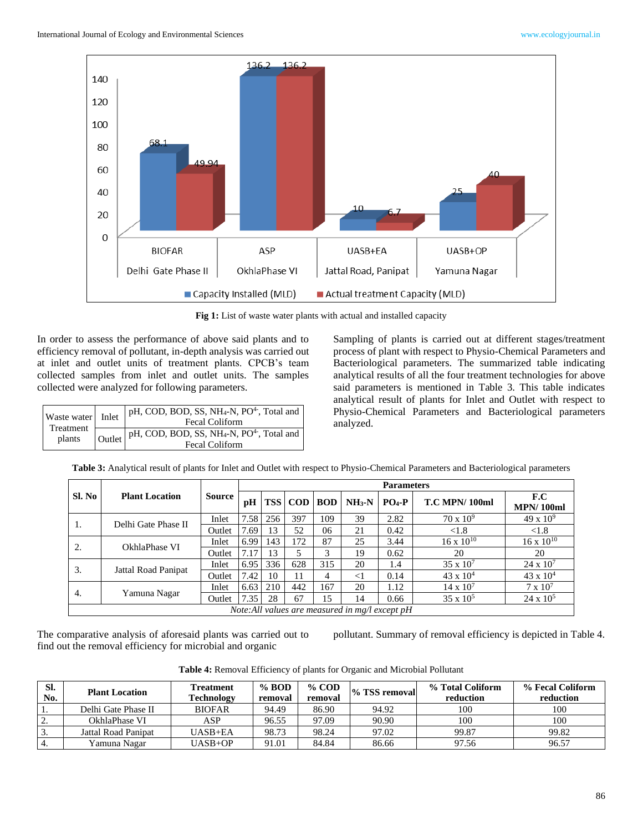

**Fig 1:** List of waste water plants with actual and installed capacity

In order to assess the performance of above said plants and to efficiency removal of pollutant, in-depth analysis was carried out at inlet and outlet units of treatment plants. CPCB's team collected samples from inlet and outlet units. The samples collected were analyzed for following parameters.

| Waste water Inlet<br>Treatment<br>plants | $\vert$ pH, COD, BOD, SS, NH <sub>4</sub> -N, PO <sup>4-</sup> , Total and<br>Fecal Coliform                                                                                                                                                                                                                                                                                                        |
|------------------------------------------|-----------------------------------------------------------------------------------------------------------------------------------------------------------------------------------------------------------------------------------------------------------------------------------------------------------------------------------------------------------------------------------------------------|
|                                          | $\bigcup$ $\bigcup$ $\bigcup$ $\bigcup$ $\bigcap$ $\bigcap$ $\bigcap$ $\bigcap$ $\bigcap$ $\bigcap$ $\bigcap$ $\bigcap$ $\bigcap$ $\bigcap$ $\bigcap$ $\bigcap$ $\bigcap$ $\bigcap$ $\bigcap$ $\bigcap$ $\bigcap$ $\bigcap$ $\bigcap$ $\bigcap$ $\bigcap$ $\bigcap$ $\bigcap$ $\bigcap$ $\bigcap$ $\bigcap$ $\bigcap$ $\bigcap$ $\bigcap$ $\bigcap$ $\bigcap$ $\bigcap$ $\bigcap$<br>Fecal Coliform |

Sampling of plants is carried out at different stages/treatment process of plant with respect to Physio-Chemical Parameters and Bacteriological parameters. The summarized table indicating analytical results of all the four treatment technologies for above said parameters is mentioned in Table 3. This table indicates analytical result of plants for Inlet and Outlet with respect to Physio-Chemical Parameters and Bacteriological parameters analyzed.

|                    | <b>Plant Location</b>                          | Source | <b>Parameters</b> |            |            |            |          |           |                      |                         |
|--------------------|------------------------------------------------|--------|-------------------|------------|------------|------------|----------|-----------|----------------------|-------------------------|
| Sl. No             |                                                |        | pH                | <b>TSS</b> | $\bf{COD}$ | <b>BOD</b> | $NH3-N$  | $PO_4$ -P | <b>T.C MPN/100ml</b> | F.C<br><b>MPN/100ml</b> |
|                    | Delhi Gate Phase II                            | Inlet  | 7.58              | 256        | 397        | 109        | 39       | 2.82      | $70 \times 10^9$     | $49 \times 10^{9}$      |
| 1.                 |                                                | Outlet | 7.69              | 13         | 52         | 06         | 21       | 0.42      | < 1.8                | ${<}1.8$                |
|                    | OkhlaPhase VI<br>2.                            | Inlet  | 6.99              | 143        | 172        | 87         | 25       | 3.44      | $16 \times 10^{10}$  | $16 \times 10^{10}$     |
|                    |                                                | Outlet | 7.17              | 13         |            | 3          | 19       | 0.62      | 20                   | 20                      |
| 3.                 | Jattal Road Panipat                            | Inlet  | 6.95              | 336        | 628        | 315        | 20       | 1.4       | $35 \times 10^7$     | $24 \times 10^7$        |
|                    |                                                | Outlet | 7.42              | 10         | 11         | 4          | $\leq$ 1 | 0.14      | $43 \times 10^{4}$   | $43 \times 10^{4}$      |
| 4.<br>Yamuna Nagar |                                                | Inlet  | 6.63              | 210        | 442        | 167        | 20       | 1.12      | $14 \times 10^{7}$   | $7 \times 10^7$         |
|                    |                                                | Outlet | 7.35              | 28         | 67         | 15         | 14       | 0.66      | $35 \times 10^5$     | $24 \times 10^5$        |
|                    | Note:All values are measured in mg/l except pH |        |                   |            |            |            |          |           |                      |                         |

**Table 3:** Analytical result of plants for Inlet and Outlet with respect to Physio-Chemical Parameters and Bacteriological parameters

The comparative analysis of aforesaid plants was carried out to find out the removal efficiency for microbial and organic

pollutant. Summary of removal efficiency is depicted in Table 4.

**Table 4:** Removal Efficiency of plants for Organic and Microbial Pollutant

| SI.<br>No.       | <b>Plant Location</b> | <b>Treatment</b><br>Technology | % BOD<br>removal | $%$ COD<br>removal | % TSS removal | % Total Coliform<br>reduction | % Fecal Coliform<br>reduction |
|------------------|-----------------------|--------------------------------|------------------|--------------------|---------------|-------------------------------|-------------------------------|
|                  | Delhi Gate Phase II   | <b>BIOFAR</b>                  | 94.49            | 86.90              | 94.92         | 100                           | 100                           |
| <u>.</u>         | OkhlaPhase VI         | ASP                            | 96.55            | 97.09              | 90.90         | 100                           | 100                           |
| $\overline{3}$ . | Jattal Road Panipat   | $UASB+EA$                      | 98.73            | 98.24              | 97.02         | 99.87                         | 99.82                         |
| $\frac{1}{4}$ .  | Yamuna Nagar          | $UASB+OP$                      | 91.01            | 84.84              | 86.66         | 97.56                         | 96.57                         |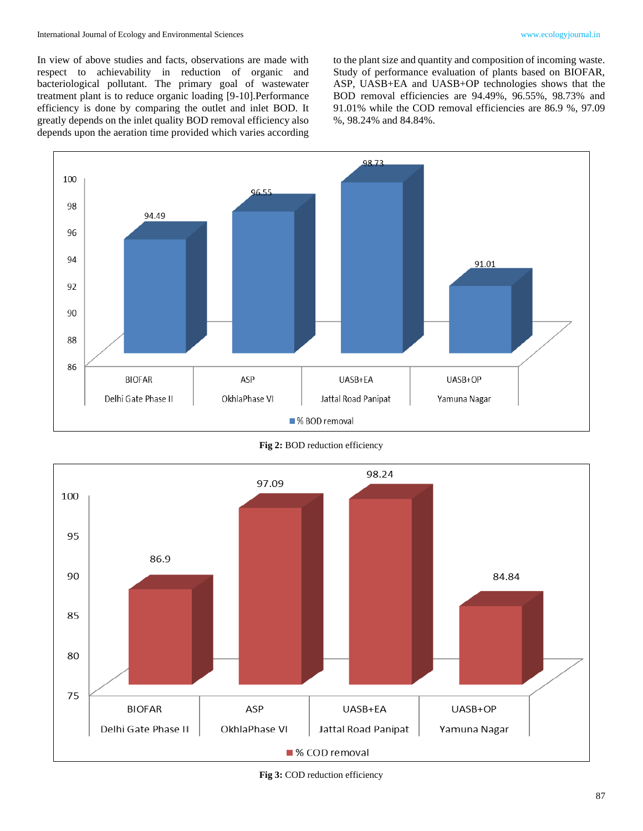In view of above studies and facts, observations are made with respect to achievability in reduction of organic and bacteriological pollutant. The primary goal of wastewater treatment plant is to reduce organic loading [9-10].Performance efficiency is done by comparing the outlet and inlet BOD. It greatly depends on the inlet quality BOD removal efficiency also depends upon the aeration time provided which varies according

to the plant size and quantity and composition of incoming waste. Study of performance evaluation of plants based on BIOFAR, ASP, UASB+EA and UASB+OP technologies shows that the BOD removal efficiencies are 94.49%, 96.55%, 98.73% and 91.01% while the COD removal efficiencies are 86.9 %, 97.09 %, 98.24% and 84.84%.



**Fig 2:** BOD reduction efficiency



**Fig 3:** COD reduction efficiency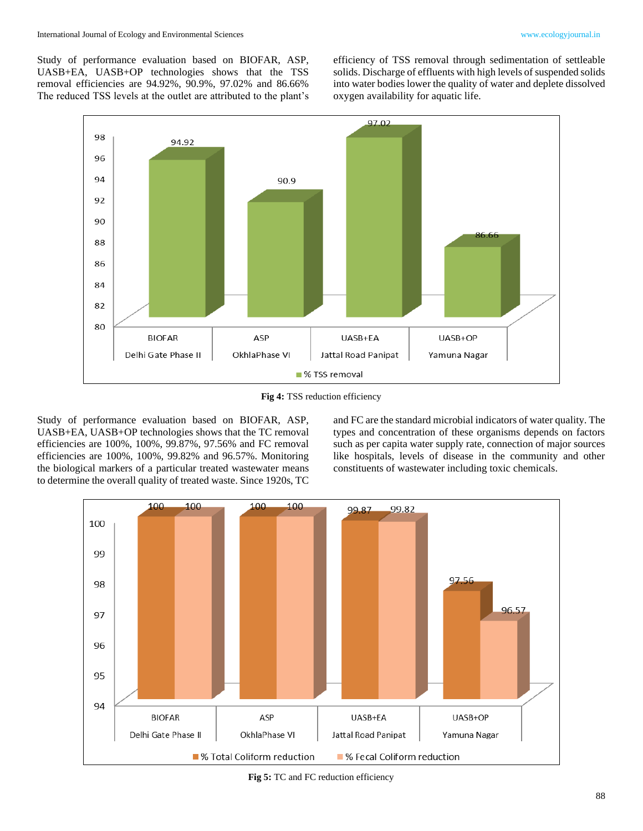Study of performance evaluation based on BIOFAR, ASP, UASB+EA, UASB+OP technologies shows that the TSS removal efficiencies are 94.92%, 90.9%, 97.02% and 86.66% The reduced TSS levels at the outlet are attributed to the plant's efficiency of TSS removal through sedimentation of settleable solids. Discharge of effluents with high levels of suspended solids into water bodies lower the quality of water and deplete dissolved oxygen availability for aquatic life.



**Fig 4:** TSS reduction efficiency

Study of performance evaluation based on BIOFAR, ASP, UASB+EA, UASB+OP technologies shows that the TC removal efficiencies are 100%, 100%, 99.87%, 97.56% and FC removal efficiencies are 100%, 100%, 99.82% and 96.57%. Monitoring the biological markers of a particular treated wastewater means to determine the overall quality of treated waste. Since 1920s, TC

and FC are the standard microbial indicators of water quality. The types and concentration of these organisms depends on factors such as per capita water supply rate, connection of major sources like hospitals, levels of disease in the community and other constituents of wastewater including toxic chemicals.



**Fig 5:** TC and FC reduction efficiency